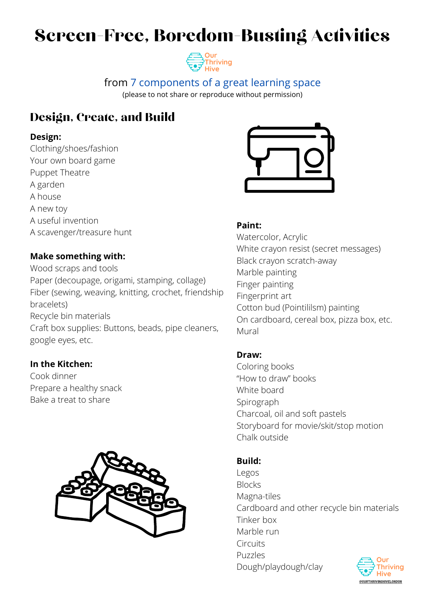# Screen-Free, Boredom-Busting Activities

## from 7 [components](https://ourthrivinghive.com/2020/11/23/7-components-of-a-great-learning-space/) of a great learning space

(please to not share or reproduce without permission)

## Design, Create, and Build

### **Design:**

Clothing/shoes/fashion Your own board game Puppet Theatre A garden A house A new toy A useful invention A scavenger/treasure hunt

## **Make something with:**

Wood scraps and tools Paper (decoupage, origami, stamping, collage) Fiber (sewing, weaving, knitting, crochet, friendship bracelets) Recycle bin materials



Craft box supplies: Buttons, beads, pipe cleaners, google eyes, etc.

### **In the Kitchen:**

Cook dinner Prepare a healthy snack Bake a treat to share



### **Paint:**

Watercolor, Acrylic White crayon resist (secret messages) Black crayon scratch-away Marble painting Finger painting Fingerprint art Cotton bud (Pointililsm) painting

On cardboard, cereal box, pizza box, etc.

Mural

## **Draw:**

Coloring books "How to draw" books White board Spirograph Charcoal, oil and soft pastels Storyboard for movie/skit/stop motion Chalk outside

### **Build:**

Legos

Blocks

Magna-tiles

Cardboard and other recycle bin materials Tinker box

Marble run

**Circuits** 

Puzzles

Dough/playdough/clay



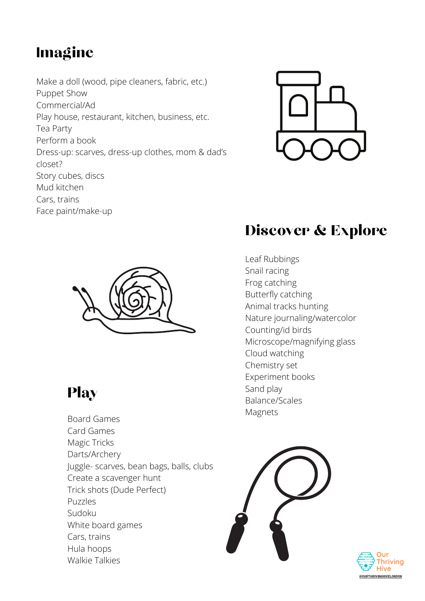# Imagine

Make a doll (wood, pipe cleaners, fabric, etc.) Puppet Show Commercial/Ad Play house, restaurant, kitchen, business, etc. Tea Party Perform a book Dress-up: scarves, dress-up clothes, mom & dad's closet? Story cubes, discs Mud kitchen Cars, trains Face paint/make-up





## Discover & Explore

Leaf Rubbings Snail racing Frog catching Butterfly catching Animal tracks hunting Nature journaling/watercolor

Counting/id birds Microscope/magnifying glass Cloud watching Chemistry set Experiment books Sand play Balance/Scales Magnets



## Play

Board Games Card Games Magic Tricks Darts/Archery Juggle- scarves, bean bags, balls, clubs Create a scavenger hunt Trick shots (Dude Perfect) Puzzles Sudoku White board games Cars, trains Hula hoops Walkie Talkies